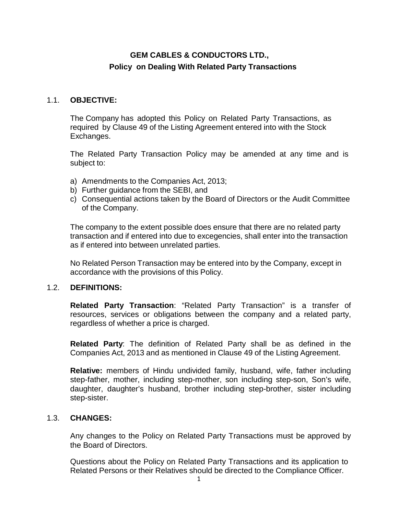# **GEM CABLES & CONDUCTORS LTD., Policy on Dealing With Related Party Transactions**

## 1.1. **OBJECTIVE:**

The Company has adopted this Policy on Related Party Transactions, as required by Clause 49 of the Listing Agreement entered into with the Stock Exchanges.

The Related Party Transaction Policy may be amended at any time and is subject to:

- a) Amendments to the Companies Act, 2013;
- b) Further guidance from the SEBI, and
- c) Consequential actions taken by the Board of Directors or the Audit Committee of the Company.

The company to the extent possible does ensure that there are no related party transaction and if entered into due to excegencies, shall enter into the transaction as if entered into between unrelated parties.

No Related Person Transaction may be entered into by the Company, except in accordance with the provisions of this Policy.

## 1.2. **DEFINITIONS:**

**Related Party Transaction**: "Related Party Transaction" is a transfer of resources, services or obligations between the company and a related party, regardless of whether a price is charged.

**Related Party**: The definition of Related Party shall be as defined in the Companies Act, 2013 and as mentioned in Clause 49 of the Listing Agreement.

**Relative:** members of Hindu undivided family, husband, wife, father including step-father, mother, including step-mother, son including step-son, Son's wife, daughter, daughter's husband, brother including step-brother, sister including step-sister.

## 1.3. **CHANGES:**

Any changes to the Policy on Related Party Transactions must be approved by the Board of Directors.

Questions about the Policy on Related Party Transactions and its application to Related Persons or their Relatives should be directed to the Compliance Officer.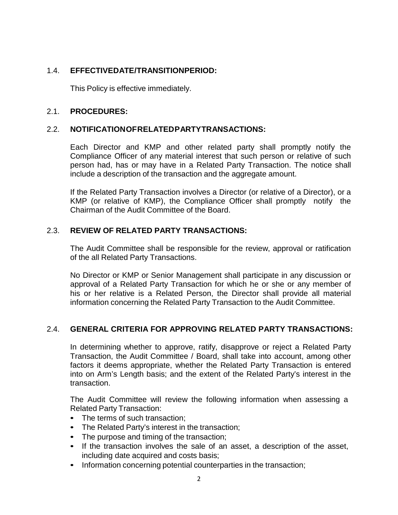## 1.4. **EFFECTIVEDATE/TRANSITIONPERIOD:**

This Policy is effective immediately.

#### 2.1. **PROCEDURES:**

#### 2.2. **NOTIFICATIONOFRELATEDPARTYTRANSACTIONS:**

Each Director and KMP and other related party shall promptly notify the Compliance Officer of any material interest that such person or relative of such person had, has or may have in a Related Party Transaction. The notice shall include a description of the transaction and the aggregate amount.

If the Related Party Transaction involves a Director (or relative of a Director), or a KMP (or relative of KMP), the Compliance Officer shall promptly notify the Chairman of the Audit Committee of the Board.

## 2.3. **REVIEW OF RELATED PARTY TRANSACTIONS:**

The Audit Committee shall be responsible for the review, approval or ratification of the all Related Party Transactions.

No Director or KMP or Senior Management shall participate in any discussion or approval of a Related Party Transaction for which he or she or any member of his or her relative is a Related Person, the Director shall provide all material information concerning the Related Party Transaction to the Audit Committee.

## 2.4. **GENERAL CRITERIA FOR APPROVING RELATED PARTY TRANSACTIONS:**

In determining whether to approve, ratify, disapprove or reject a Related Party Transaction, the Audit Committee / Board, shall take into account, among other factors it deems appropriate, whether the Related Party Transaction is entered into on Arm's Length basis; and the extent of the Related Party's interest in the transaction.

The Audit Committee will review the following information when assessing a Related Party Transaction:

- The terms of such transaction;
- The Related Party's interest in the transaction;
- The purpose and timing of the transaction;
- If the transaction involves the sale of an asset, a description of the asset, including date acquired and costs basis;
- Information concerning potential counterparties in the transaction;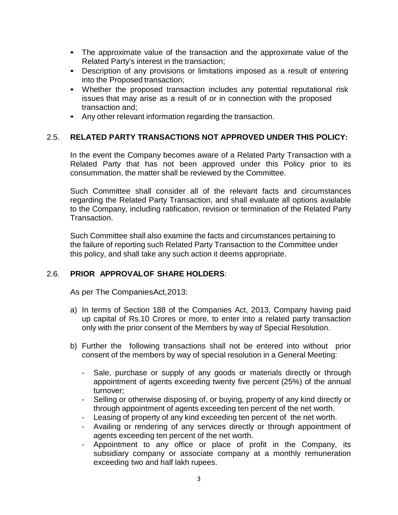- The approximate value of the transaction and the approximate value of the Related Party's interest in the transaction;
- Description of any provisions or limitations imposed as a result of entering into the Proposed transaction;
- Whether the proposed transaction includes any potential reputational risk issues that may arise as a result of or in connection with the proposed transaction and;
- Any other relevant information regarding the transaction.

## 2.5. **RELATED PARTY TRANSACTIONS NOT APPROVED UNDER THIS POLICY:**

In the event the Company becomes aware of a Related Party Transaction with a Related Party that has not been approved under this Policy prior to its consummation, the matter shall be reviewed by the Committee.

Such Committee shall consider all of the relevant facts and circumstances regarding the Related Party Transaction, and shall evaluate all options available to the Company, including ratification, revision or termination of the Related Party Transaction.

Such Committee shall also examine the facts and circumstances pertaining to the failure of reporting such Related Party Transaction to the Committee under this policy, and shall take any such action it deems appropriate.

## 2.6. **PRIOR APPROVALOF SHARE HOLDERS**:

As per The CompaniesAct,2013:

- a) In terms of Section 188 of the Companies Act, 2013, Company having paid up capital of Rs.10 Crores or more, to enter into a related party transaction only with the prior consent of the Members by way of Special Resolution.
- b) Further the following transactions shall not be entered into without prior consent of the members by way of special resolution in a General Meeting:
	- Sale, purchase or supply of any goods or materials directly or through appointment of agents exceeding twenty five percent (25%) of the annual turnover;
	- Selling or otherwise disposing of, or buying, property of any kind directly or through appointment of agents exceeding ten percent of the net worth.
	- Leasing of property of any kind exceeding ten percent of the net worth.
	- Availing or rendering of any services directly or through appointment of agents exceeding ten percent of the net worth.
	- Appointment to any office or place of profit in the Company, its subsidiary company or associate company at a monthly remuneration exceeding two and half lakh rupees.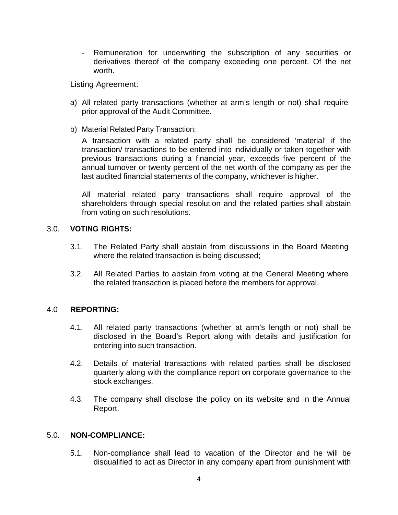- Remuneration for underwriting the subscription of any securities or derivatives thereof of the company exceeding one percent. Of the net worth.

Listing Agreement:

- a) All related party transactions (whether at arm's length or not) shall require prior approval of the Audit Committee.
- b) Material Related Party Transaction:

A transaction with a related party shall be considered 'material' if the transaction/ transactions to be entered into individually or taken together with previous transactions during a financial year, exceeds five percent of the annual turnover or twenty percent of the net worth of the company as per the last audited financial statements of the company, whichever is higher.

All material related party transactions shall require approval of the shareholders through special resolution and the related parties shall abstain from voting on such resolutions.

## 3.0. **VOTING RIGHTS:**

- 3.1. The Related Party shall abstain from discussions in the Board Meeting where the related transaction is being discussed;
- 3.2. All Related Parties to abstain from voting at the General Meeting where the related transaction is placed before the members for approval.

## 4.0 **REPORTING:**

- 4.1. All related party transactions (whether at arm's length or not) shall be disclosed in the Board's Report along with details and justification for entering into such transaction.
- 4.2. Details of material transactions with related parties shall be disclosed quarterly along with the compliance report on corporate governance to the stock exchanges.
- 4.3. The company shall disclose the policy on its website and in the Annual Report.

#### 5.0. **NON-COMPLIANCE:**

5.1. Non-compliance shall lead to vacation of the Director and he will be disqualified to act as Director in any company apart from punishment with